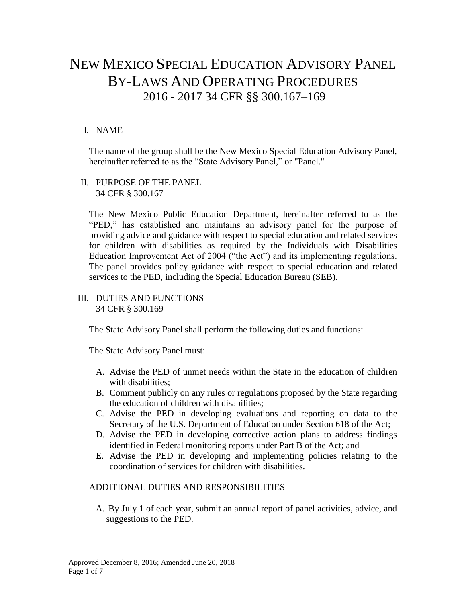# NEW MEXICO SPECIAL EDUCATION ADVISORY PANEL BY-LAWS AND OPERATING PROCEDURES 2016 - 2017 34 CFR §§ 300.167–169

## I. NAME

The name of the group shall be the New Mexico Special Education Advisory Panel, hereinafter referred to as the "State Advisory Panel," or "Panel."

#### II. PURPOSE OF THE PANEL 34 CFR § 300.167

The New Mexico Public Education Department, hereinafter referred to as the "PED," has established and maintains an advisory panel for the purpose of providing advice and guidance with respect to special education and related services for children with disabilities as required by the Individuals with Disabilities Education Improvement Act of 2004 ("the Act") and its implementing regulations. The panel provides policy guidance with respect to special education and related services to the PED, including the Special Education Bureau (SEB).

#### III. DUTIES AND FUNCTIONS 34 CFR § 300.169

The State Advisory Panel shall perform the following duties and functions:

The State Advisory Panel must:

- A. Advise the PED of unmet needs within the State in the education of children with disabilities;
- B. Comment publicly on any rules or regulations proposed by the State regarding the education of children with disabilities;
- C. Advise the PED in developing evaluations and reporting on data to the Secretary of the U.S. Department of Education under Section 618 of the Act;
- D. Advise the PED in developing corrective action plans to address findings identified in Federal monitoring reports under Part B of the Act; and
- E. Advise the PED in developing and implementing policies relating to the coordination of services for children with disabilities.

# ADDITIONAL DUTIES AND RESPONSIBILITIES

A. By July 1 of each year, submit an annual report of panel activities, advice, and suggestions to the PED.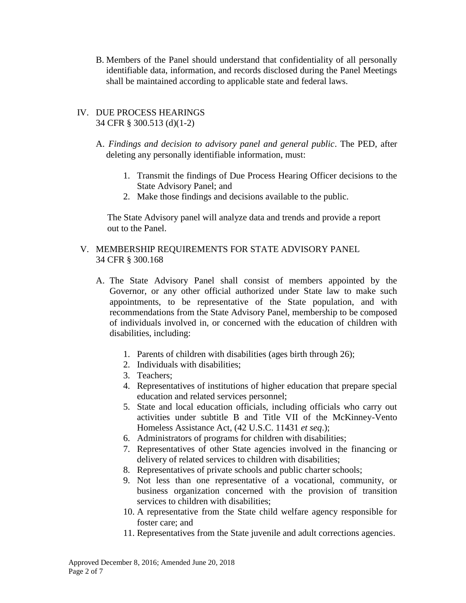B. Members of the Panel should understand that confidentiality of all personally identifiable data, information, and records disclosed during the Panel Meetings shall be maintained according to applicable state and federal laws.

#### IV. DUE PROCESS HEARINGS 34 CFR § 300.513 (d)(1-2)

- A. *Findings and decision to advisory panel and general public*. The PED, after deleting any personally identifiable information, must:
	- 1. Transmit the findings of Due Process Hearing Officer decisions to the State Advisory Panel; and
	- 2. Make those findings and decisions available to the public.

 The State Advisory panel will analyze data and trends and provide a report out to the Panel.

## V. MEMBERSHIP REQUIREMENTS FOR STATE ADVISORY PANEL 34 CFR § 300.168

- A. The State Advisory Panel shall consist of members appointed by the Governor, or any other official authorized under State law to make such appointments, to be representative of the State population, and with recommendations from the State Advisory Panel, membership to be composed of individuals involved in, or concerned with the education of children with disabilities, including:
	- 1. Parents of children with disabilities (ages birth through 26);
	- 2. Individuals with disabilities;
	- 3. Teachers;
	- 4. Representatives of institutions of higher education that prepare special education and related services personnel;
	- 5. State and local education officials, including officials who carry out activities under subtitle B and Title VII of the McKinney-Vento Homeless Assistance Act, (42 U.S.C. 11431 *et seq*.);
	- 6. Administrators of programs for children with disabilities;
	- 7. Representatives of other State agencies involved in the financing or delivery of related services to children with disabilities;
	- 8. Representatives of private schools and public charter schools;
	- 9. Not less than one representative of a vocational, community, or business organization concerned with the provision of transition services to children with disabilities;
	- 10. A representative from the State child welfare agency responsible for foster care; and
	- 11. Representatives from the State juvenile and adult corrections agencies.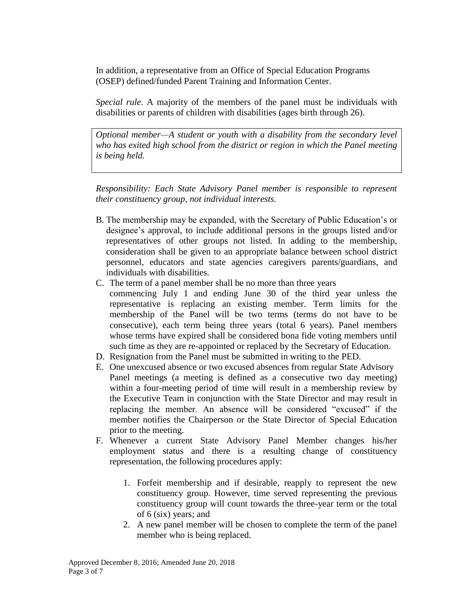In addition, a representative from an Office of Special Education Programs (OSEP) defined/funded Parent Training and Information Center.

*Special rule*. A majority of the members of the panel must be individuals with disabilities or parents of children with disabilities (ages birth through 26).

*Optional member—A student or youth with a disability from the secondary level who has exited high school from the district or region in which the Panel meeting is being held.* 

*Responsibility: Each State Advisory Panel member is responsible to represent their constituency group, not individual interests.*

- B. The membership may be expanded, with the Secretary of Public Education's or designee's approval, to include additional persons in the groups listed and/or representatives of other groups not listed. In adding to the membership, consideration shall be given to an appropriate balance between school district personnel, educators and state agencies caregivers parents/guardians, and individuals with disabilities.
- C. The term of a panel member shall be no more than three years commencing July 1 and ending June 30 of the third year unless the representative is replacing an existing member. Term limits for the membership of the Panel will be two terms (terms do not have to be consecutive), each term being three years (total 6 years). Panel members whose terms have expired shall be considered bona fide voting members until such time as they are re-appointed or replaced by the Secretary of Education.
- D. Resignation from the Panel must be submitted in writing to the PED.
- E. One unexcused absence or two excused absences from regular State Advisory Panel meetings (a meeting is defined as a consecutive two day meeting) within a four-meeting period of time will result in a membership review by the Executive Team in conjunction with the State Director and may result in replacing the member. An absence will be considered "excused" if the member notifies the Chairperson or the State Director of Special Education prior to the meeting.
- F. Whenever a current State Advisory Panel Member changes his/her employment status and there is a resulting change of constituency representation, the following procedures apply:
	- 1. Forfeit membership and if desirable, reapply to represent the new constituency group. However, time served representing the previous constituency group will count towards the three-year term or the total of 6 (six) years; and
	- 2. A new panel member will be chosen to complete the term of the panel member who is being replaced.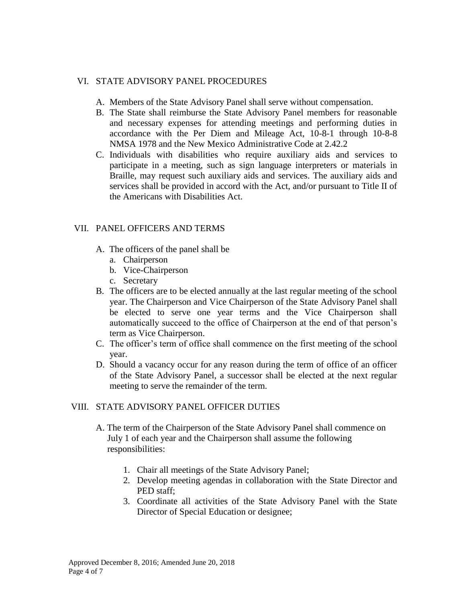#### VI. STATE ADVISORY PANEL PROCEDURES

- A. Members of the State Advisory Panel shall serve without compensation.
- B. The State shall reimburse the State Advisory Panel members for reasonable and necessary expenses for attending meetings and performing duties in accordance with the Per Diem and Mileage Act, 10-8-1 through 10-8-8 NMSA 1978 and the New Mexico Administrative Code at 2.42.2
- C. Individuals with disabilities who require auxiliary aids and services to participate in a meeting, such as sign language interpreters or materials in Braille, may request such auxiliary aids and services. The auxiliary aids and services shall be provided in accord with the Act, and/or pursuant to Title II of the Americans with Disabilities Act.

# VII. PANEL OFFICERS AND TERMS

- A. The officers of the panel shall be
	- a. Chairperson
	- b. Vice-Chairperson
	- c. Secretary
- B. The officers are to be elected annually at the last regular meeting of the school year. The Chairperson and Vice Chairperson of the State Advisory Panel shall be elected to serve one year terms and the Vice Chairperson shall automatically succeed to the office of Chairperson at the end of that person's term as Vice Chairperson.
- C. The officer's term of office shall commence on the first meeting of the school year.
- D. Should a vacancy occur for any reason during the term of office of an officer of the State Advisory Panel, a successor shall be elected at the next regular meeting to serve the remainder of the term.

#### VIII. STATE ADVISORY PANEL OFFICER DUTIES

- A. The term of the Chairperson of the State Advisory Panel shall commence on July 1 of each year and the Chairperson shall assume the following responsibilities:
	- 1. Chair all meetings of the State Advisory Panel;
	- 2. Develop meeting agendas in collaboration with the State Director and PED staff;
	- 3. Coordinate all activities of the State Advisory Panel with the State Director of Special Education or designee;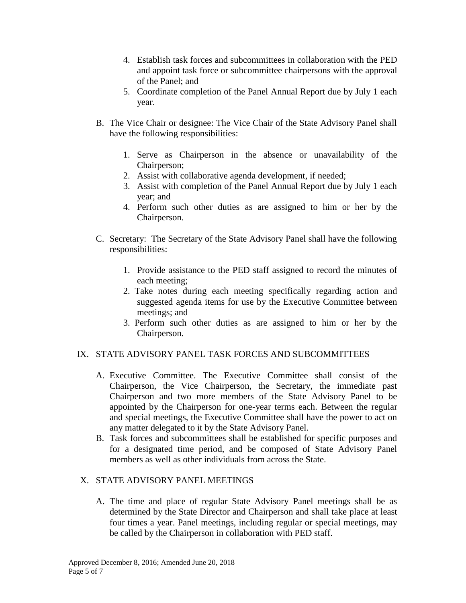- 4. Establish task forces and subcommittees in collaboration with the PED and appoint task force or subcommittee chairpersons with the approval of the Panel; and
- 5. Coordinate completion of the Panel Annual Report due by July 1 each year.
- B. The Vice Chair or designee: The Vice Chair of the State Advisory Panel shall have the following responsibilities:
	- 1. Serve as Chairperson in the absence or unavailability of the Chairperson;
	- 2. Assist with collaborative agenda development, if needed;
	- 3. Assist with completion of the Panel Annual Report due by July 1 each year; and
	- 4. Perform such other duties as are assigned to him or her by the Chairperson.
- C. Secretary: The Secretary of the State Advisory Panel shall have the following responsibilities:
	- 1. Provide assistance to the PED staff assigned to record the minutes of each meeting;
	- 2. Take notes during each meeting specifically regarding action and suggested agenda items for use by the Executive Committee between meetings; and
	- 3. Perform such other duties as are assigned to him or her by the Chairperson.

# IX. STATE ADVISORY PANEL TASK FORCES AND SUBCOMMITTEES

- A. Executive Committee. The Executive Committee shall consist of the Chairperson, the Vice Chairperson, the Secretary, the immediate past Chairperson and two more members of the State Advisory Panel to be appointed by the Chairperson for one-year terms each. Between the regular and special meetings, the Executive Committee shall have the power to act on any matter delegated to it by the State Advisory Panel.
- B. Task forces and subcommittees shall be established for specific purposes and for a designated time period, and be composed of State Advisory Panel members as well as other individuals from across the State.

# X. STATE ADVISORY PANEL MEETINGS

A. The time and place of regular State Advisory Panel meetings shall be as determined by the State Director and Chairperson and shall take place at least four times a year. Panel meetings, including regular or special meetings, may be called by the Chairperson in collaboration with PED staff.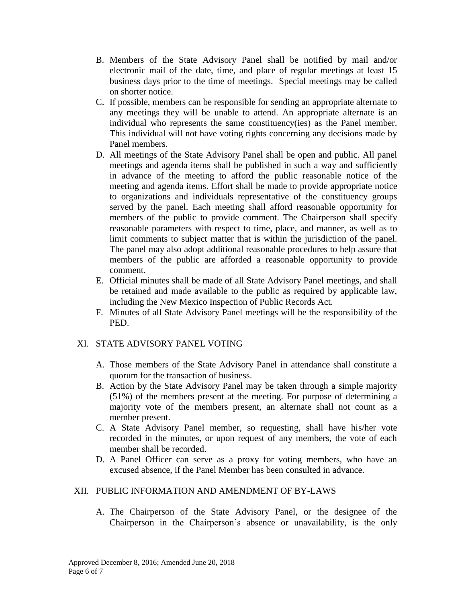- B. Members of the State Advisory Panel shall be notified by mail and/or electronic mail of the date, time, and place of regular meetings at least 15 business days prior to the time of meetings. Special meetings may be called on shorter notice.
- C. If possible, members can be responsible for sending an appropriate alternate to any meetings they will be unable to attend. An appropriate alternate is an individual who represents the same constituency(ies) as the Panel member. This individual will not have voting rights concerning any decisions made by Panel members.
- D. All meetings of the State Advisory Panel shall be open and public. All panel meetings and agenda items shall be published in such a way and sufficiently in advance of the meeting to afford the public reasonable notice of the meeting and agenda items. Effort shall be made to provide appropriate notice to organizations and individuals representative of the constituency groups served by the panel. Each meeting shall afford reasonable opportunity for members of the public to provide comment. The Chairperson shall specify reasonable parameters with respect to time, place, and manner, as well as to limit comments to subject matter that is within the jurisdiction of the panel. The panel may also adopt additional reasonable procedures to help assure that members of the public are afforded a reasonable opportunity to provide comment.
- E. Official minutes shall be made of all State Advisory Panel meetings, and shall be retained and made available to the public as required by applicable law, including the New Mexico Inspection of Public Records Act.
- F. Minutes of all State Advisory Panel meetings will be the responsibility of the PED.

#### XI. STATE ADVISORY PANEL VOTING

- A. Those members of the State Advisory Panel in attendance shall constitute a quorum for the transaction of business.
- B. Action by the State Advisory Panel may be taken through a simple majority (51%) of the members present at the meeting. For purpose of determining a majority vote of the members present, an alternate shall not count as a member present.
- C. A State Advisory Panel member, so requesting, shall have his/her vote recorded in the minutes, or upon request of any members, the vote of each member shall be recorded.
- D. A Panel Officer can serve as a proxy for voting members, who have an excused absence, if the Panel Member has been consulted in advance.

#### XII. PUBLIC INFORMATION AND AMENDMENT OF BY-LAWS

A. The Chairperson of the State Advisory Panel, or the designee of the Chairperson in the Chairperson's absence or unavailability, is the only